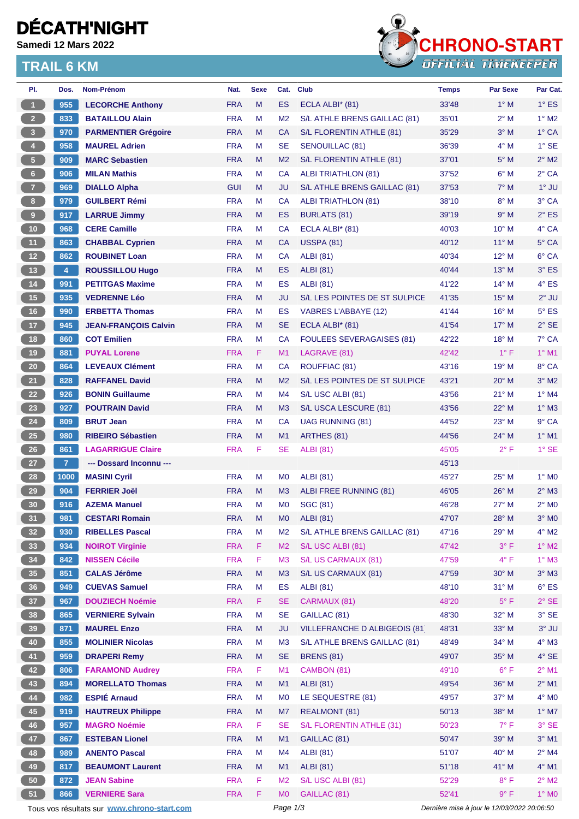# **DÉCATH'NIGHT**

**Samedi 12 Mars 2022**

### **TRAIL 6 KM**



| PI.                                         | Dos.           | Nom-Prénom                                 | Nat.       | <b>Sexe</b> | Cat.           | <b>Club</b>                      | <b>Temps</b>                                | Par Sexe                       | Par Cat.                       |
|---------------------------------------------|----------------|--------------------------------------------|------------|-------------|----------------|----------------------------------|---------------------------------------------|--------------------------------|--------------------------------|
| $\mathbf{1}$                                | 955            | <b>LECORCHE Anthony</b>                    | <b>FRA</b> | M           | <b>ES</b>      | ECLA ALBI* (81)                  | 33'48                                       | $1^\circ$ M                    | $1^\circ$ ES                   |
| 2 <sup>7</sup>                              | 833            | <b>BATAILLOU Alain</b>                     | <b>FRA</b> | M           | M <sub>2</sub> | S/L ATHLE BRENS GAILLAC (81)     | 35'01                                       | $2^{\circ}$ M                  | $1^\circ$ M2                   |
| $\overline{\mathbf{3}}$                     | 970            | <b>PARMENTIER Grégoire</b>                 | <b>FRA</b> | M           | CA             | S/L FLORENTIN ATHLE (81)         | 35'29                                       | $3°$ M                         | $1^\circ$ CA                   |
| 4                                           | 958            | <b>MAUREL Adrien</b>                       | <b>FRA</b> | М           | <b>SE</b>      | <b>SENOUILLAC (81)</b>           | 36'39                                       | $4^\circ$ M                    | $1^\circ$ SE                   |
| 5 <sup>o</sup>                              | 909            | <b>MARC Sebastien</b>                      | <b>FRA</b> | M           | M <sub>2</sub> | S/L FLORENTIN ATHLE (81)         | 37'01                                       | $5^\circ$ M                    | $2^{\circ}$ M2                 |
| $6 -$                                       | 906            | <b>MILAN Mathis</b>                        | <b>FRA</b> | M           | <b>CA</b>      | <b>ALBI TRIATHLON (81)</b>       | 37'52                                       | $6^\circ$ M                    | $2^{\circ}$ CA                 |
| $\overline{7}$                              | 969            | <b>DIALLO Alpha</b>                        | <b>GUI</b> | M           | JU             | S/L ATHLE BRENS GAILLAC (81)     | 37'53                                       | $7^\circ$ M                    | $1°$ JU                        |
| 8 <sub>1</sub>                              | 979            | <b>GUILBERT Rémi</b>                       | <b>FRA</b> | М           | CA             | <b>ALBI TRIATHLON (81)</b>       | 38'10                                       | $8^\circ$ M                    | 3° CA                          |
| $\boldsymbol{9}$                            | 917            | <b>LARRUE Jimmy</b>                        | <b>FRA</b> | M           | <b>ES</b>      | <b>BURLATS (81)</b>              | 39'19                                       | 9° M                           | $2^{\circ}$ ES                 |
| $10$                                        | 968            | <b>CERE Camille</b>                        | <b>FRA</b> | м           | CA             | ECLA ALBI* (81)                  | 40'03                                       | 10° M                          | 4° CA                          |
| 11                                          | 863            | <b>CHABBAL Cyprien</b>                     | <b>FRA</b> | M           | <b>CA</b>      | <b>USSPA (81)</b>                | 40'12                                       | $11^{\circ}$ M                 | 5° CA                          |
| 12 <sup>7</sup>                             | 862            | <b>ROUBINET Loan</b>                       | <b>FRA</b> | м           | CA             | <b>ALBI</b> (81)                 | 40'34                                       | $12^{\circ}$ M                 | 6° CA                          |
| 13                                          | 4              | <b>ROUSSILLOU Hugo</b>                     | <b>FRA</b> | M           | ES             | <b>ALBI</b> (81)                 | 40'44                                       | 13° M                          | $3°$ ES                        |
| 14                                          | 991            | <b>PETITGAS Maxime</b>                     | <b>FRA</b> | М           | <b>ES</b>      | <b>ALBI</b> (81)                 | 41'22                                       | $14^{\circ}$ M                 | $4^{\circ}$ ES                 |
| $15$                                        | 935            | <b>VEDRENNE Léo</b>                        | <b>FRA</b> | M           | JU             | S/L LES POINTES DE ST SULPICE    | 41'35                                       | $15^{\circ}$ M                 | $2^{\circ}$ JU                 |
| 16                                          | 990            | <b>ERBETTA Thomas</b>                      | <b>FRA</b> | М           | ES             | VABRES L'ABBAYE (12)             | 41'44                                       | 16° M                          | $5^{\circ}$ ES                 |
| 17 <sup>°</sup>                             | 945            | <b>JEAN-FRANCOIS Calvin</b>                | <b>FRA</b> | M           | <b>SE</b>      | ECLA ALBI* (81)                  | 41'54                                       | 17° M                          | $2°$ SE                        |
| 18                                          | 860            | <b>COT Emilien</b>                         | <b>FRA</b> | М           | CA             | <b>FOULEES SEVERAGAISES (81)</b> | 42'22                                       | 18° M                          | 7° CA                          |
| 19                                          | 881            | <b>PUYAL Lorene</b>                        | <b>FRA</b> | F.          | M1             | LAGRAVE (81)                     | 42'42                                       | $1^{\circ}$ F                  | $1^\circ$ M1                   |
| 20 <sub>2</sub>                             | 864            | <b>LEVEAUX Clément</b>                     | <b>FRA</b> | M           | СA             | ROUFFIAC (81)                    | 43'16                                       | 19° M                          | 8° CA                          |
| 21                                          | 828            | <b>RAFFANEL David</b>                      | <b>FRA</b> | M           | M <sub>2</sub> | S/L LES POINTES DE ST SULPICE    | 43'21                                       | $20^\circ$ M                   | $3^\circ$ M2                   |
| 22                                          | 926            | <b>BONIN Guillaume</b>                     | <b>FRA</b> | M           | M4             | S/L USC ALBI (81)                | 43'56                                       | $21^{\circ}$ M                 | $1^\circ$ M4                   |
| 23                                          | 927            | <b>POUTRAIN David</b>                      | <b>FRA</b> | M           | M <sub>3</sub> | S/L USCA LESCURE (81)            | 43'56                                       | $22^{\circ}$ M                 | $1^\circ$ M3                   |
| 24                                          | 809            | <b>BRUT Jean</b>                           | <b>FRA</b> | М           | CA             | <b>UAG RUNNING (81)</b>          | 44'52                                       | $23^\circ$ M                   | 9° CA                          |
| 25                                          | 980            | <b>RIBEIRO Sébastien</b>                   | <b>FRA</b> | M           | M1             | ARTHES (81)                      | 44'56                                       | 24° M                          | $1^\circ$ M1                   |
| 26                                          | 861            | <b>LAGARRIGUE Claire</b>                   | <b>FRA</b> | F           | SE             | <b>ALBI (81)</b>                 | 45'05                                       | $2^{\circ}$ F                  | $1^\circ$ SE                   |
| 27                                          | 7 <sup>2</sup> | --- Dossard Inconnu ---                    |            |             |                |                                  | 45'13                                       |                                |                                |
| 28                                          | 1000           | <b>MASINI Cyril</b>                        | <b>FRA</b> | M           | M <sub>0</sub> | <b>ALBI (81)</b>                 | 45'27                                       | 25° M                          | $1^\circ$ MO                   |
| 29                                          | 904            |                                            |            |             |                | ALBI FREE RUNNING (81)           |                                             |                                |                                |
|                                             |                | <b>FERRIER Joël</b><br><b>AZEMA Manuel</b> | <b>FRA</b> | M<br>М      | M <sub>3</sub> |                                  | 46'05<br>46'28                              | $26^{\circ}$ M<br>$27^\circ$ M | $2^{\circ}$ M3<br>$2^\circ$ MO |
| 30                                          | 916            |                                            | <b>FRA</b> |             | M <sub>0</sub> | <b>SGC (81)</b>                  |                                             |                                |                                |
| 31                                          | 981            | <b>CESTARI Romain</b>                      | <b>FRA</b> | M           | M <sub>0</sub> | <b>ALBI</b> (81)                 | 47'07                                       | $28^\circ$ M                   | $3°$ MO                        |
| 32 <sub>2</sub>                             | 930            | <b>RIBELLES Pascal</b>                     | <b>FRA</b> | M           | M <sub>2</sub> | S/L ATHLE BRENS GAILLAC (81)     | 47'16                                       | $29^{\circ}$ M                 | $4^\circ$ M2                   |
| 33                                          | 934            | <b>NOIROT Virginie</b>                     | <b>FRA</b> | F           | M <sub>2</sub> | S/L USC ALBI (81)                | 47'42                                       | $3^{\circ}$ F                  | $1^\circ$ M2                   |
| 34                                          | 842            | <b>NISSEN Cécile</b>                       | <b>FRA</b> | F           | M <sub>3</sub> | S/L US CARMAUX (81)              | 47'59                                       | $4^{\circ}$ F                  | $1^\circ$ M3                   |
| 35 <sub>5</sub>                             | 851            | <b>CALAS Jérôme</b>                        | <b>FRA</b> | M           | M3             | S/L US CARMAUX (81)              | 47'59                                       | 30° M                          | $3^\circ$ M3                   |
| 36 <sup>°</sup>                             | 949            | <b>CUEVAS Samuel</b>                       | <b>FRA</b> | M           | ES             | <b>ALBI</b> (81)                 | 48'10                                       | $31^\circ$ M                   | $6^{\circ}$ ES                 |
| 37 <sup>°</sup>                             | 967            | <b>DOUZIECH Noémie</b>                     | <b>FRA</b> | F.          | <b>SE</b>      | CARMAUX (81)                     | 48'20                                       | $5^{\circ}$ F                  | $2^{\circ}$ SE                 |
| 38                                          | 865            | <b>VERNIERE Sylvain</b>                    | <b>FRA</b> | M           | <b>SE</b>      | GAILLAC (81)                     | 48'30                                       | 32° M                          | $3^\circ$ SE                   |
| 39                                          | 871            | <b>MAUREL Enzo</b>                         | <b>FRA</b> | M           | <b>JU</b>      | VILLEFRANCHE D ALBIGEOIS (81     | 48'31                                       | 33° M                          | $3^\circ$ JU                   |
| 40                                          | 855            | <b>MOLINIER Nicolas</b>                    | <b>FRA</b> | М           | M <sub>3</sub> | S/L ATHLE BRENS GAILLAC (81)     | 48'49                                       | 34° M                          | $4^\circ$ M3                   |
| 41                                          | 959            | <b>DRAPERI Remy</b>                        | <b>FRA</b> | M           | <b>SE</b>      | <b>BRENS (81)</b>                | 49'07                                       | 35° M                          | $4^{\circ}$ SE                 |
| 42                                          | 806            | <b>FARAMOND Audrey</b>                     | <b>FRA</b> | F           | M1             | CAMBON (81)                      | 49'10                                       | $6^{\circ}$ F                  | $2^{\circ}$ M1                 |
| 43                                          | 894            | <b>MORELLATO Thomas</b>                    | <b>FRA</b> | M           | M1             | <b>ALBI</b> (81)                 | 49'54                                       | 36° M                          | $2^{\circ}$ M1                 |
| 44                                          | 982            | <b>ESPIÉ Arnaud</b>                        | <b>FRA</b> | M           | M <sub>0</sub> | LE SEQUESTRE (81)                | 49'57                                       | 37° M                          | $4^\circ$ MO                   |
| 45                                          | 919            | <b>HAUTREUX Philippe</b>                   | <b>FRA</b> | M           | M7             | <b>REALMONT (81)</b>             | 50'13                                       | 38° M                          | $1^\circ$ M7                   |
| 46                                          | 957            | <b>MAGRO Noémie</b>                        | <b>FRA</b> | F           | <b>SE</b>      | S/L FLORENTIN ATHLE (31)         | 50'23                                       | $7^\circ$ F                    | $3°$ SE                        |
| 47                                          | 867            | <b>ESTEBAN Lionel</b>                      | <b>FRA</b> | M           | M1             | GAILLAC (81)                     | 50'47                                       | 39° M                          | $3°$ M1                        |
| 48                                          | 989            | <b>ANENTO Pascal</b>                       | <b>FRA</b> | М           | M4             | <b>ALBI</b> (81)                 | 51'07                                       | 40° M                          | $2^{\circ}$ M4                 |
| 49                                          | 817            | <b>BEAUMONT Laurent</b>                    | <b>FRA</b> | M           | M1             | <b>ALBI</b> (81)                 | 51'18                                       | 41° M                          | 4° M1                          |
| 50                                          | 872            | <b>JEAN Sabine</b>                         | <b>FRA</b> | F           | M <sub>2</sub> | S/L USC ALBI (81)                | 52'29                                       | $8^{\circ}$ F                  | $2^\circ$ M2                   |
| 51                                          | 866            | <b>VERNIERE Sara</b>                       | <b>FRA</b> | F.          | M <sub>0</sub> | GAILLAC (81)                     | 52'41                                       | $9^{\circ}$ F                  | $1^\circ$ MO                   |
| Tous vos résultats sur www.chrono-start.com |                |                                            |            |             | Page 1/3       |                                  | Dernière mise à jour le 12/03/2022 20:06:50 |                                |                                |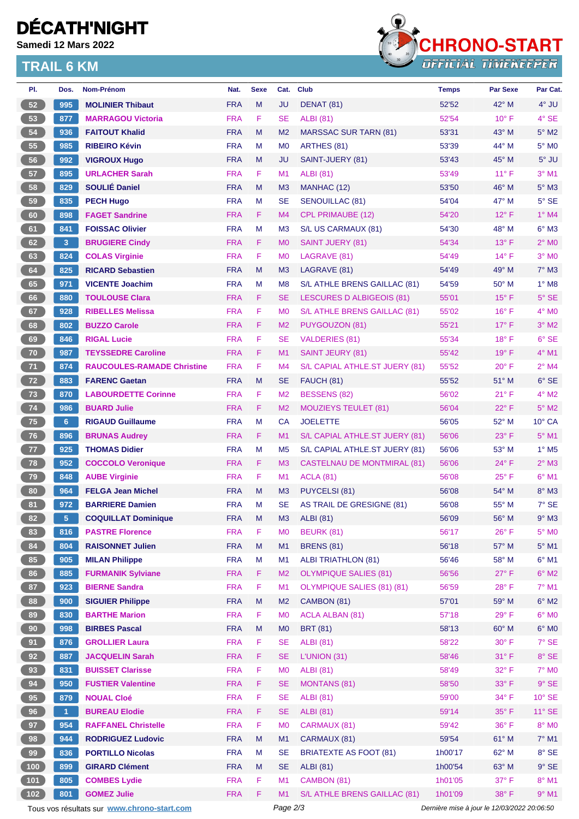# **DÉCATH'NIGHT**

**Samedi 12 Mars 2022**

#### **TRAIL 6 KM**



| PI.             | Dos.      | Nom-Prénom                        | Nat.       | <b>Sexe</b> | Cat.           | <b>Club</b>                        | <b>Temps</b> | Par Sexe       | Par Cat.                 |
|-----------------|-----------|-----------------------------------|------------|-------------|----------------|------------------------------------|--------------|----------------|--------------------------|
| 52              | 995       | <b>MOLINIER Thibaut</b>           | <b>FRA</b> | M           | <b>JU</b>      | <b>DENAT (81)</b>                  | 52'52        | $42^{\circ}$ M | $4^\circ$ JU             |
| 53              | 877       | <b>MARRAGOU Victoria</b>          | <b>FRA</b> | F           | <b>SE</b>      | <b>ALBI</b> (81)                   | 52'54        | $10^{\circ}$ F | 4° SE                    |
| 54              | 936       | <b>FAITOUT Khalid</b>             | <b>FRA</b> | M           | M <sub>2</sub> | <b>MARSSAC SUR TARN (81)</b>       | 53'31        | 43° M          | $5^\circ$ M2             |
| 55              | 985       | <b>RIBEIRO Kévin</b>              | <b>FRA</b> | М           | M <sub>0</sub> | ARTHES (81)                        | 53'39        | 44° M          | 5° M <sub>0</sub>        |
| 56              | 992       | <b>VIGROUX Hugo</b>               | <b>FRA</b> | M           | JU             | SAINT-JUERY (81)                   | 53'43        | 45° M          | $5^\circ$ JU             |
| 57              | 895       | <b>URLACHER Sarah</b>             | <b>FRA</b> | F.          | M1             | <b>ALBI (81)</b>                   | 53'49        | $11^{\circ}$ F | $3°$ M1                  |
| 58              | 829       | <b>SOULIÉ Daniel</b>              | <b>FRA</b> | M           | M <sub>3</sub> | MANHAC (12)                        | 53'50        | $46^{\circ}$ M | $5^\circ$ M3             |
| 59              | 835       | <b>PECH Hugo</b>                  | <b>FRA</b> | М           | <b>SE</b>      | SENOUILLAC (81)                    | 54'04        | 47° M          | $5^\circ$ SE             |
| 60              | 898       | <b>FAGET Sandrine</b>             | <b>FRA</b> | F.          | M4             | <b>CPL PRIMAUBE (12)</b>           | 54'20        | $12^{\circ}$ F | $1°$ M4                  |
| 61              | 841       | <b>FOISSAC Olivier</b>            | <b>FRA</b> | M           | M <sub>3</sub> | S/L US CARMAUX (81)                | 54'30        | 48° M          | $6^{\circ}$ M3           |
| 62              | 3         | <b>BRUGIERE Cindy</b>             | <b>FRA</b> | F.          | M <sub>0</sub> | SAINT JUERY (81)                   | 54'34        | $13°$ F        | $2^{\circ}$ MO           |
| 63              | 824       | <b>COLAS Virginie</b>             | <b>FRA</b> | F           | M <sub>0</sub> | LAGRAVE (81)                       | 54'49        | $14^{\circ}$ F | $3°$ MO                  |
| 64              | 825       | <b>RICARD Sebastien</b>           | <b>FRA</b> | M           | M <sub>3</sub> | LAGRAVE (81)                       | 54'49        | 49° M          | $7^\circ$ M3             |
| 65              | 971       | <b>VICENTE Joachim</b>            | <b>FRA</b> | М           | M <sub>8</sub> | S/L ATHLE BRENS GAILLAC (81)       | 54'59        | $50^{\circ}$ M | $1^\circ$ M <sub>8</sub> |
| 66              | 880       | <b>TOULOUSE Clara</b>             | <b>FRA</b> | F.          | <b>SE</b>      | LESCURES D ALBIGEOIS (81)          | 55'01        | $15^{\circ}$ F | $5^\circ$ SE             |
| 67              | 928       | <b>RIBELLES Melissa</b>           | <b>FRA</b> | F.          | M <sub>0</sub> | S/L ATHLE BRENS GAILLAC (81)       | 55'02        | $16^{\circ}$ F | $4^\circ$ MO             |
| 68              | 802       | <b>BUZZO Carole</b>               | <b>FRA</b> | F           | M <sub>2</sub> | PUYGOUZON (81)                     | 55'21        | $17^{\circ}$ F | $3°$ M2                  |
| 69              | 846       | <b>RIGAL Lucie</b>                | <b>FRA</b> | F           | SE             | <b>VALDERIES (81)</b>              | 55'34        | $18^{\circ}$ F | $6°$ SE                  |
| 70              | 987       | <b>TEYSSEDRE Caroline</b>         | <b>FRA</b> | F.          | M1             | <b>SAINT JEURY (81)</b>            | 55'42        | 19°F           | 4° M1                    |
| 71              | 874       | <b>RAUCOULES-RAMADE Christine</b> | <b>FRA</b> | F.          | M4             | S/L CAPIAL ATHLE.ST JUERY (81)     | 55'52        | $20^{\circ}$ F | $2^{\circ}$ M4           |
| 72              | 883       | <b>FARENC Gaetan</b>              | <b>FRA</b> | M           | <b>SE</b>      | FAUCH (81)                         | 55'52        | $51^\circ$ M   | $6^{\circ}$ SE           |
| 73              | 870       | <b>LABOURDETTE Corinne</b>        | <b>FRA</b> | F           | M <sub>2</sub> | <b>BESSENS (82)</b>                | 56'02        | $21^{\circ}$ F | $4^\circ$ M2             |
| 74              | 986       | <b>BUARD Julie</b>                | <b>FRA</b> | F           | M <sub>2</sub> | <b>MOUZIEYS TEULET (81)</b>        | 56'04        | $22^{\circ}$ F | $5^\circ$ M2             |
| 75              | 6         | <b>RIGAUD Guillaume</b>           | <b>FRA</b> | M           | CA             | <b>JOELETTE</b>                    | 56'05        | 52° M          | 10° CA                   |
| 76              | 896       | <b>BRUNAS Audrey</b>              | <b>FRA</b> | F.          | M1             | S/L CAPIAL ATHLE.ST JUERY (81)     | 56'06        | $23^\circ$ F   | $5^{\circ}$ M1           |
| 77              | 925       | <b>THOMAS Didier</b>              | <b>FRA</b> | м           | M <sub>5</sub> | S/L CAPIAL ATHLE.ST JUERY (81)     | 56'06        | $53^\circ$ M   | $1^\circ$ M <sub>5</sub> |
| 78              | 952       | <b>COCCOLO Veronique</b>          | <b>FRA</b> | F.          | M <sub>3</sub> | <b>CASTELNAU DE MONTMIRAL (81)</b> | 56'06        | 24° F          | $2^{\circ}$ M3           |
| 79              | 848       | <b>AUBE Virginie</b>              | <b>FRA</b> | F.          | M1             | <b>ACLA (81)</b>                   | 56'08        | $25^{\circ}$ F | $6°$ M1                  |
| 80              | 964       | <b>FELGA Jean Michel</b>          | <b>FRA</b> | M           | M <sub>3</sub> | PUYCELSI (81)                      | 56'08        | 54° M          | $8^\circ$ M3             |
| 81              | 972       | <b>BARRIERE Damien</b>            | <b>FRA</b> | м           | <b>SE</b>      | AS TRAIL DE GRESIGNE (81)          | 56'08        | 55° M          | $7°$ SE                  |
| 82)             | $5 -$     | <b>COQUILLAT Dominique</b>        | <b>FRA</b> | M           | M3             | ALBI (81)                          | 56'09        | 56° M          | $9°$ M3                  |
| 83              | 816       | <b>PASTRE Florence</b>            | <b>FRA</b> | F           | M <sub>0</sub> | <b>BEURK (81)</b>                  | 56'17        | $26^{\circ}$ F | $5^\circ$ MO             |
| 84              | 804       | <b>RAISONNET Julien</b>           | <b>FRA</b> | M           | M1             | <b>BRENS (81)</b>                  | 56'18        | 57° M          | $5^\circ$ M1             |
| 85              | 905       | <b>MILAN Philippe</b>             | <b>FRA</b> | М           | M1             | <b>ALBI TRIATHLON (81)</b>         | 56'46        | 58° M          | $6^{\circ}$ M1           |
| 86              | 885       | <b>FURMANIK Sylviane</b>          | <b>FRA</b> | F.          | M <sub>2</sub> | <b>OLYMPIQUE SALIES (81)</b>       | 56'56        | $27^\circ$ F   | $6^\circ$ M2             |
| 87              | 923       | <b>BIERNE Sandra</b>              | <b>FRA</b> | F           | M1             | OLYMPIQUE SALIES (81) (81)         | 56'59        | 28°F           | 7° M1                    |
| 88              | 900       | <b>SIGUIER Philippe</b>           | <b>FRA</b> | M           | M <sub>2</sub> | CAMBON (81)                        | 57'01        | 59° M          | $6^\circ$ M2             |
| 89              | 830       | <b>BARTHE Marion</b>              | <b>FRA</b> | F           | M <sub>0</sub> | <b>ACLA ALBAN (81)</b>             | 57'18        | 29°F           | $6^{\circ}$ MO           |
| 90 <sub>o</sub> | 998       | <b>BIRBES Pascal</b>              | <b>FRA</b> | M           | M <sub>0</sub> | <b>BRT (81)</b>                    | 58'13        | 60° M          | $6^{\circ}$ MO           |
| 91              | 876       | <b>GROLLIER Laura</b>             | <b>FRA</b> | F           | <b>SE</b>      | <b>ALBI</b> (81)                   | 58'22        | $30^{\circ}$ F | 7° SE                    |
| 92              | 887       | <b>JACQUELIN Sarah</b>            | <b>FRA</b> | F           | <b>SE</b>      | L'UNION (31)                       | 58'46        | $31^\circ$ F   | $8^\circ$ SE             |
| 93              | 831       | <b>BUISSET Clarisse</b>           | <b>FRA</b> | F           | M <sub>0</sub> | <b>ALBI</b> (81)                   | 58'49        | 32°F           | <b>7° MO</b>             |
| 94              | 950       | <b>FUSTIER Valentine</b>          | <b>FRA</b> | F           | <b>SE</b>      | <b>MONTANS (81)</b>                | 58'50        | 33° F          | $9°$ SE                  |
| 95              | 879       | <b>NOUAL Cloé</b>                 | <b>FRA</b> | F           | <b>SE</b>      | <b>ALBI</b> (81)                   | 59'00        | 34° F          | $10^{\circ}$ SE          |
| 96              | $\vert$ 1 | <b>BUREAU Elodie</b>              | <b>FRA</b> | F.          | <b>SE</b>      | <b>ALBI</b> (81)                   | 59'14        | 35° F          | 11° SE                   |
| 97              | 954       | <b>RAFFANEL Christelle</b>        | <b>FRA</b> | F           | M <sub>0</sub> | CARMAUX (81)                       | 59'42        | 36° F          | $8^\circ$ MO             |
| 98              | 944       | <b>RODRIGUEZ Ludovic</b>          | <b>FRA</b> | M           | M1             | CARMAUX (81)                       | 59'54        | 61° M          | 7° M1                    |
| 99              | 836       | <b>PORTILLO Nicolas</b>           | <b>FRA</b> | M           | <b>SE</b>      | <b>BRIATEXTE AS FOOT (81)</b>      | 1h00'17      | 62° M          | $8^{\circ}$ SE           |
| $100$           | 899       | <b>GIRARD Clément</b>             | <b>FRA</b> | M           | <b>SE</b>      | <b>ALBI</b> (81)                   | 1h00'54      | 63° M          | $9°$ SE                  |
| $101$           | 805       | <b>COMBES Lydie</b>               | <b>FRA</b> | F.          | M1             | CAMBON (81)                        | 1h01'05      | 37°F           | $8^\circ$ M1             |
| $102$           | 801       | <b>GOMEZ Julie</b>                | <b>FRA</b> | F.          | M1             | S/L ATHLE BRENS GAILLAC (81)       | 1h01'09      | 38° F          | $9°$ M1                  |

Tous vos résultats sur **[www.chrono-start.com](https://www.chrono-start.com/)** Page 2/3 Page 2/3 Dernière mise à jour le 12/03/2022 20:06:50